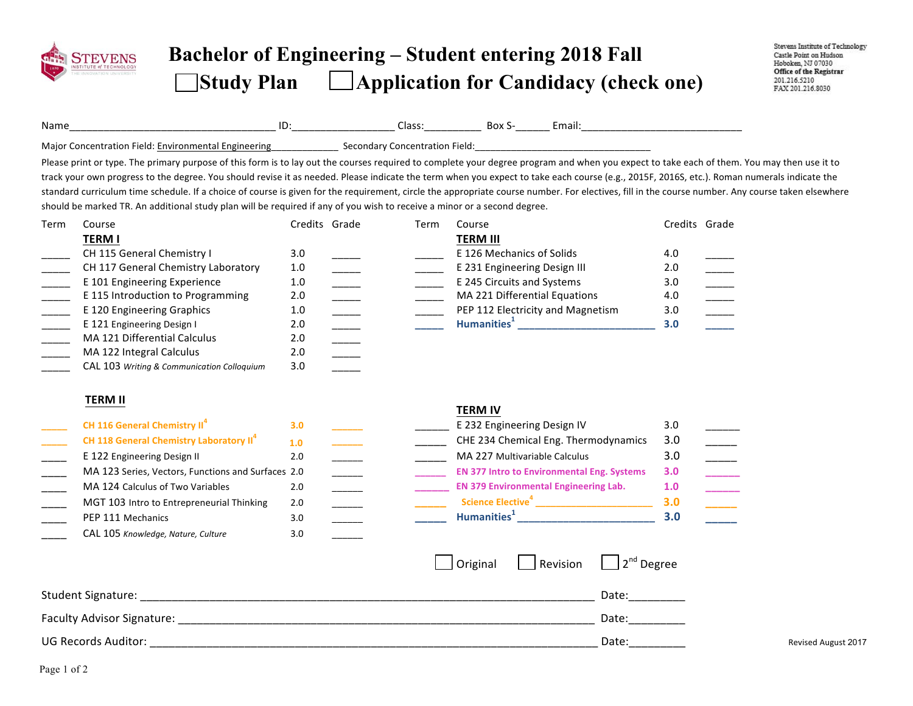

## **Bachelor of Engineering – Student entering 2018 Fall Study Plan Application for Candidacy (check one)**

| Name                     |                                                                                                                                                                                                                                                                                                                                                                                                                                                                                                                                                                                                                                                                                                                            |                                 |      |                                               |                                                                                                                              |               |                                                                                                                                                                                                                                                                                                                                                                                                             |
|--------------------------|----------------------------------------------------------------------------------------------------------------------------------------------------------------------------------------------------------------------------------------------------------------------------------------------------------------------------------------------------------------------------------------------------------------------------------------------------------------------------------------------------------------------------------------------------------------------------------------------------------------------------------------------------------------------------------------------------------------------------|---------------------------------|------|-----------------------------------------------|------------------------------------------------------------------------------------------------------------------------------|---------------|-------------------------------------------------------------------------------------------------------------------------------------------------------------------------------------------------------------------------------------------------------------------------------------------------------------------------------------------------------------------------------------------------------------|
|                          | Major Concentration Field: Environmental Engineering entity of Secondary Concentration Field: encouragement and the Major Concentration Field:                                                                                                                                                                                                                                                                                                                                                                                                                                                                                                                                                                             |                                 |      |                                               |                                                                                                                              |               |                                                                                                                                                                                                                                                                                                                                                                                                             |
|                          | Please print or type. The primary purpose of this form is to lay out the courses required to complete your degree program and when you expect to take each of them. You may then use it to<br>track your own progress to the degree. You should revise it as needed. Please indicate the term when you expect to take each course (e.g., 2015F, 2016S, etc.). Roman numerals indicate the<br>standard curriculum time schedule. If a choice of course is given for the requirement, circle the appropriate course number. For electives, fill in the course number. Any course taken elsewhere<br>should be marked TR. An additional study plan will be required if any of you wish to receive a minor or a second degree. |                                 |      |                                               |                                                                                                                              |               |                                                                                                                                                                                                                                                                                                                                                                                                             |
| Term                     | Course                                                                                                                                                                                                                                                                                                                                                                                                                                                                                                                                                                                                                                                                                                                     | Credits Grade                   | Term | Course                                        |                                                                                                                              | Credits Grade |                                                                                                                                                                                                                                                                                                                                                                                                             |
|                          | <b>TERM I</b>                                                                                                                                                                                                                                                                                                                                                                                                                                                                                                                                                                                                                                                                                                              |                                 |      | <b>TERM III</b>                               |                                                                                                                              |               |                                                                                                                                                                                                                                                                                                                                                                                                             |
|                          | CH 115 General Chemistry I                                                                                                                                                                                                                                                                                                                                                                                                                                                                                                                                                                                                                                                                                                 | 3.0                             |      | E 126 Mechanics of Solids                     |                                                                                                                              | 4.0           |                                                                                                                                                                                                                                                                                                                                                                                                             |
|                          | CH 117 General Chemistry Laboratory                                                                                                                                                                                                                                                                                                                                                                                                                                                                                                                                                                                                                                                                                        | 1.0                             |      | E 231 Engineering Design III                  |                                                                                                                              | 2.0           |                                                                                                                                                                                                                                                                                                                                                                                                             |
|                          | E 101 Engineering Experience                                                                                                                                                                                                                                                                                                                                                                                                                                                                                                                                                                                                                                                                                               | 1.0                             |      | E 245 Circuits and Systems                    |                                                                                                                              | 3.0           | $\frac{1}{1}$                                                                                                                                                                                                                                                                                                                                                                                               |
| $\overline{\phantom{a}}$ | E 115 Introduction to Programming                                                                                                                                                                                                                                                                                                                                                                                                                                                                                                                                                                                                                                                                                          | 2.0                             |      | MA 221 Differential Equations                 |                                                                                                                              | 4.0           | $\frac{1}{1}$                                                                                                                                                                                                                                                                                                                                                                                               |
| $\frac{1}{1}$            | E 120 Engineering Graphics                                                                                                                                                                                                                                                                                                                                                                                                                                                                                                                                                                                                                                                                                                 | $1.0$<br>$\frac{1}{1}$          |      | PEP 112 Electricity and Magnetism             |                                                                                                                              | 3.0           | $\overline{\phantom{a}}$                                                                                                                                                                                                                                                                                                                                                                                    |
|                          | E 121 Engineering Design I                                                                                                                                                                                                                                                                                                                                                                                                                                                                                                                                                                                                                                                                                                 | 2.0<br>$\overline{\phantom{a}}$ |      |                                               |                                                                                                                              | 3.0           | $\mathcal{L}(\mathcal{L})$                                                                                                                                                                                                                                                                                                                                                                                  |
|                          | MA 121 Differential Calculus                                                                                                                                                                                                                                                                                                                                                                                                                                                                                                                                                                                                                                                                                               | 2.0                             |      |                                               |                                                                                                                              |               |                                                                                                                                                                                                                                                                                                                                                                                                             |
|                          | MA 122 Integral Calculus                                                                                                                                                                                                                                                                                                                                                                                                                                                                                                                                                                                                                                                                                                   | 2.0                             |      |                                               |                                                                                                                              |               |                                                                                                                                                                                                                                                                                                                                                                                                             |
|                          | CAL 103 Writing & Communication Colloquium                                                                                                                                                                                                                                                                                                                                                                                                                                                                                                                                                                                                                                                                                 | 3.0                             |      |                                               |                                                                                                                              |               |                                                                                                                                                                                                                                                                                                                                                                                                             |
|                          | <b>TERM II</b>                                                                                                                                                                                                                                                                                                                                                                                                                                                                                                                                                                                                                                                                                                             |                                 |      |                                               |                                                                                                                              |               |                                                                                                                                                                                                                                                                                                                                                                                                             |
|                          | CH 116 General Chemistry II <sup>4</sup>                                                                                                                                                                                                                                                                                                                                                                                                                                                                                                                                                                                                                                                                                   | 3.0                             |      | <b>TERM IV</b><br>E 232 Engineering Design IV |                                                                                                                              | 3.0           |                                                                                                                                                                                                                                                                                                                                                                                                             |
|                          | CH 118 General Chemistry Laboratory II <sup>4</sup>                                                                                                                                                                                                                                                                                                                                                                                                                                                                                                                                                                                                                                                                        | 1.0                             |      |                                               | CHE 234 Chemical Eng. Thermodynamics                                                                                         | 3.0           |                                                                                                                                                                                                                                                                                                                                                                                                             |
|                          | E 122 Engineering Design II                                                                                                                                                                                                                                                                                                                                                                                                                                                                                                                                                                                                                                                                                                | 2.0                             |      | MA 227 Multivariable Calculus                 |                                                                                                                              | 3.0           |                                                                                                                                                                                                                                                                                                                                                                                                             |
|                          | MA 123 Series, Vectors, Functions and Surfaces 2.0                                                                                                                                                                                                                                                                                                                                                                                                                                                                                                                                                                                                                                                                         |                                 |      |                                               | <b>EN 377 Intro to Environmental Eng. Systems</b>                                                                            | 3.0           | $\begin{tabular}{ c c } \hline \quad \quad & \quad \quad & \quad \quad \\ \hline \quad \quad & \quad \quad & \quad \quad \\ \hline \quad \quad & \quad \quad & \quad \quad \\ \hline \quad \quad & \quad \quad & \quad \quad \\ \hline \quad \quad & \quad \quad & \quad \quad \\ \hline \quad \quad & \quad \quad & \quad \quad \\ \hline \quad \quad & \quad \quad & \quad \quad \\ \hline \end{tabular}$ |
|                          | MA 124 Calculus of Two Variables                                                                                                                                                                                                                                                                                                                                                                                                                                                                                                                                                                                                                                                                                           | 2.0                             |      | <b>EN 379 Environmental Engineering Lab.</b>  |                                                                                                                              | 1.0           |                                                                                                                                                                                                                                                                                                                                                                                                             |
|                          | MGT 103 Intro to Entrepreneurial Thinking                                                                                                                                                                                                                                                                                                                                                                                                                                                                                                                                                                                                                                                                                  | 2.0<br>$\overline{a}$           |      |                                               | Science Elective <sup>4</sup> _________________________                                                                      | 3.0           | $\overline{\phantom{a}}$                                                                                                                                                                                                                                                                                                                                                                                    |
|                          | PEP 111 Mechanics                                                                                                                                                                                                                                                                                                                                                                                                                                                                                                                                                                                                                                                                                                          | 3.0<br>$\overline{\phantom{a}}$ |      |                                               | Humanities <sup>1</sup> Manual Manual Manual Manual Manual Manual Manual Manual Manual Manual Manual Manual Manual Manual Ma | 3.0           |                                                                                                                                                                                                                                                                                                                                                                                                             |
|                          | CAL 105 Knowledge, Nature, Culture                                                                                                                                                                                                                                                                                                                                                                                                                                                                                                                                                                                                                                                                                         | 3.0                             |      |                                               |                                                                                                                              |               |                                                                                                                                                                                                                                                                                                                                                                                                             |
|                          |                                                                                                                                                                                                                                                                                                                                                                                                                                                                                                                                                                                                                                                                                                                            |                                 |      | Original                                      | $\Box$ 2 <sup>nd</sup> Degree<br>$\Box$ Revision                                                                             |               |                                                                                                                                                                                                                                                                                                                                                                                                             |
|                          |                                                                                                                                                                                                                                                                                                                                                                                                                                                                                                                                                                                                                                                                                                                            |                                 |      |                                               | Date:                                                                                                                        |               |                                                                                                                                                                                                                                                                                                                                                                                                             |
|                          |                                                                                                                                                                                                                                                                                                                                                                                                                                                                                                                                                                                                                                                                                                                            |                                 |      |                                               | Date:                                                                                                                        |               |                                                                                                                                                                                                                                                                                                                                                                                                             |
|                          | <b>UG Records Auditor:</b>                                                                                                                                                                                                                                                                                                                                                                                                                                                                                                                                                                                                                                                                                                 |                                 |      |                                               | Date:                                                                                                                        |               | <b>Revised August 2017</b>                                                                                                                                                                                                                                                                                                                                                                                  |